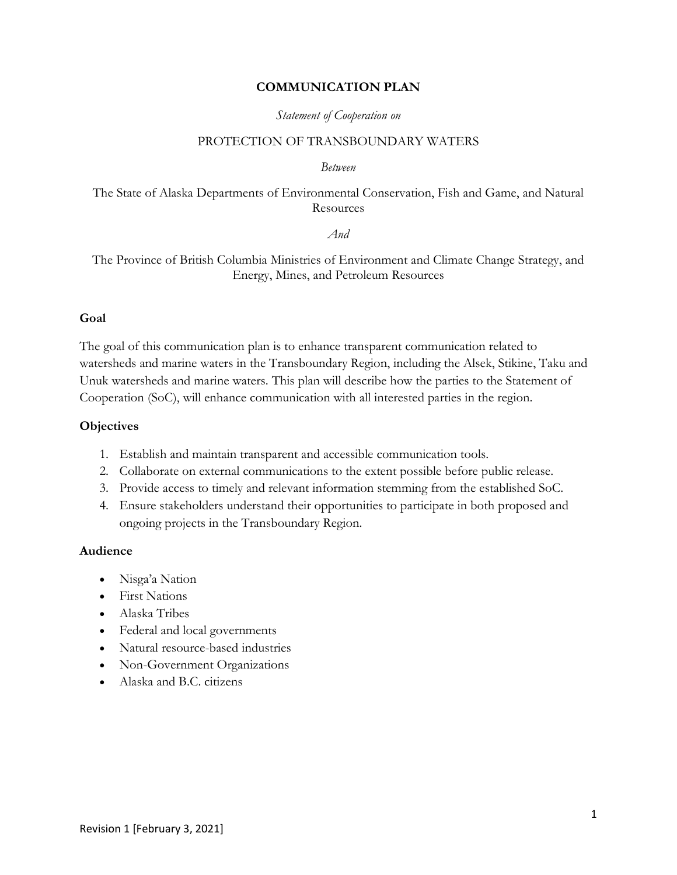#### **COMMUNICATION PLAN**

#### *Statement of Cooperation on*

#### PROTECTION OF TRANSBOUNDARY WATERS

#### *Between*

### The State of Alaska Departments of Environmental Conservation, Fish and Game, and Natural Resources

#### *And*

The Province of British Columbia Ministries of Environment and Climate Change Strategy, and Energy, Mines, and Petroleum Resources

#### **Goal**

The goal of this communication plan is to enhance transparent communication related to watersheds and marine waters in the Transboundary Region, including the Alsek, Stikine, Taku and Unuk watersheds and marine waters. This plan will describe how the parties to the Statement of Cooperation (SoC), will enhance communication with all interested parties in the region.

#### **Objectives**

- 1. Establish and maintain transparent and accessible communication tools.
- 2. Collaborate on external communications to the extent possible before public release.
- 3. Provide access to timely and relevant information stemming from the established SoC.
- 4. Ensure stakeholders understand their opportunities to participate in both proposed and ongoing projects in the Transboundary Region.

#### **Audience**

- Nisga'a Nation
- First Nations
- Alaska Tribes
- Federal and local governments
- Natural resource-based industries
- Non-Government Organizations
- Alaska and B.C. citizens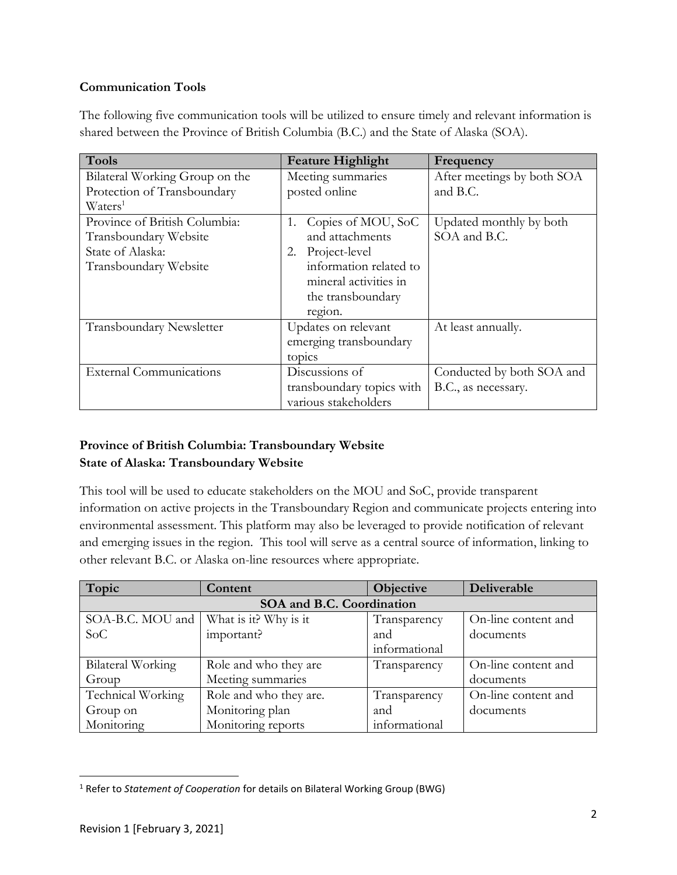# **Communication Tools**

The following five communication tools will be utilized to ensure timely and relevant information is shared between the Province of British Columbia (B.C.) and the State of Alaska (SOA).

| <b>Tools</b>                    | <b>Feature Highlight</b>  | Frequency                  |
|---------------------------------|---------------------------|----------------------------|
| Bilateral Working Group on the  | Meeting summaries         | After meetings by both SOA |
| Protection of Transboundary     | posted online             | and B.C.                   |
| Waters <sup>1</sup>             |                           |                            |
| Province of British Columbia:   | Copies of MOU, SoC<br>1.  | Updated monthly by both    |
| Transboundary Website           | and attachments           | SOA and B.C.               |
| State of Alaska:                | Project-level<br>2.       |                            |
| Transboundary Website           | information related to    |                            |
|                                 | mineral activities in     |                            |
|                                 | the transboundary         |                            |
|                                 | region.                   |                            |
| <b>Transboundary Newsletter</b> | Updates on relevant       | At least annually.         |
|                                 | emerging transboundary    |                            |
|                                 | topics                    |                            |
| <b>External Communications</b>  | Discussions of            | Conducted by both SOA and  |
|                                 | transboundary topics with | B.C., as necessary.        |
|                                 | various stakeholders      |                            |

# **Province of British Columbia: Transboundary Website State of Alaska: Transboundary Website**

This tool will be used to educate stakeholders on the MOU and SoC, provide transparent information on active projects in the Transboundary Region and communicate projects entering into environmental assessment. This platform may also be leveraged to provide notification of relevant and emerging issues in the region. This tool will serve as a central source of information, linking to other relevant B.C. or Alaska on-line resources where appropriate.

| Topic                     | Content                | <b>Objective</b> | Deliverable         |  |  |
|---------------------------|------------------------|------------------|---------------------|--|--|
| SOA and B.C. Coordination |                        |                  |                     |  |  |
| SOA-B.C. MOU and          | What is it? Why is it  | Transparency     | On-line content and |  |  |
| SoC                       | important?             | and              | documents           |  |  |
|                           |                        | informational    |                     |  |  |
| Bilateral Working         | Role and who they are  | Transparency     | On-line content and |  |  |
| Group                     | Meeting summaries      |                  | documents           |  |  |
| Technical Working         | Role and who they are. | Transparency     | On-line content and |  |  |
| Group on                  | Monitoring plan        | and              | documents           |  |  |
| Monitoring                | Monitoring reports     | informational    |                     |  |  |

<sup>&</sup>lt;sup>1</sup> Refer to *Statement of Cooperation* for details on Bilateral Working Group (BWG)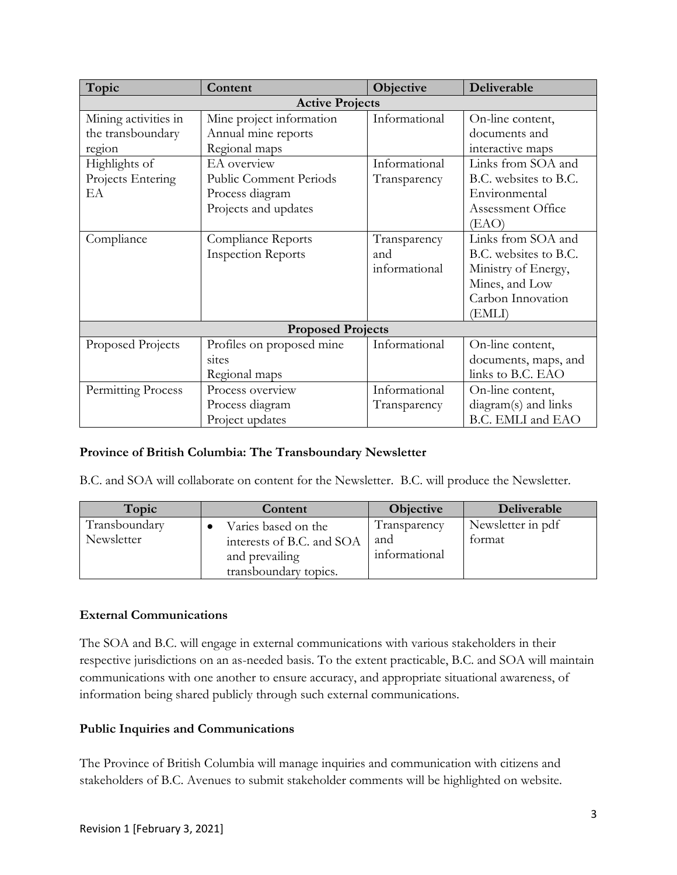| Topic                    | Content                       | Objective     | Deliverable           |  |  |
|--------------------------|-------------------------------|---------------|-----------------------|--|--|
| <b>Active Projects</b>   |                               |               |                       |  |  |
| Mining activities in     | Mine project information      | Informational | On-line content,      |  |  |
| the transboundary        | Annual mine reports           |               | documents and         |  |  |
| region                   | Regional maps                 |               | interactive maps      |  |  |
| Highlights of            | EA overview                   | Informational | Links from SOA and    |  |  |
| Projects Entering        | <b>Public Comment Periods</b> | Transparency  | B.C. websites to B.C. |  |  |
| EA                       | Process diagram               |               | Environmental         |  |  |
|                          | Projects and updates          |               | Assessment Office     |  |  |
|                          |                               |               | (EAO)                 |  |  |
| Compliance               | Compliance Reports            | Transparency  | Links from SOA and    |  |  |
|                          | <b>Inspection Reports</b>     | and           | B.C. websites to B.C. |  |  |
|                          |                               | informational | Ministry of Energy,   |  |  |
|                          |                               |               | Mines, and Low        |  |  |
|                          |                               |               | Carbon Innovation     |  |  |
|                          |                               |               | (EMLI)                |  |  |
| <b>Proposed Projects</b> |                               |               |                       |  |  |
| Proposed Projects        | Profiles on proposed mine     | Informational | On-line content,      |  |  |
|                          | sites                         |               | documents, maps, and  |  |  |
|                          | Regional maps                 |               | links to B.C. EAO     |  |  |
| Permitting Process       | Process overview              | Informational | On-line content,      |  |  |
|                          | Process diagram               | Transparency  | diagram(s) and links  |  |  |
|                          | Project updates               |               | B.C. EMLI and EAO     |  |  |

# **Province of British Columbia: The Transboundary Newsletter**

B.C. and SOA will collaborate on content for the Newsletter. B.C. will produce the Newsletter.

| Topic         | Content                   | <b>Objective</b> | Deliverable       |
|---------------|---------------------------|------------------|-------------------|
| Transboundary | Varies based on the       | Transparency     | Newsletter in pdf |
| Newsletter    | interests of B.C. and SOA | and              | tormat            |
|               | and prevailing            | informational    |                   |
|               | transboundary topics.     |                  |                   |

## **External Communications**

The SOA and B.C. will engage in external communications with various stakeholders in their respective jurisdictions on an as-needed basis. To the extent practicable, B.C. and SOA will maintain communications with one another to ensure accuracy, and appropriate situational awareness, of information being shared publicly through such external communications.

### **Public Inquiries and Communications**

The Province of British Columbia will manage inquiries and communication with citizens and stakeholders of B.C. Avenues to submit stakeholder comments will be highlighted on website.